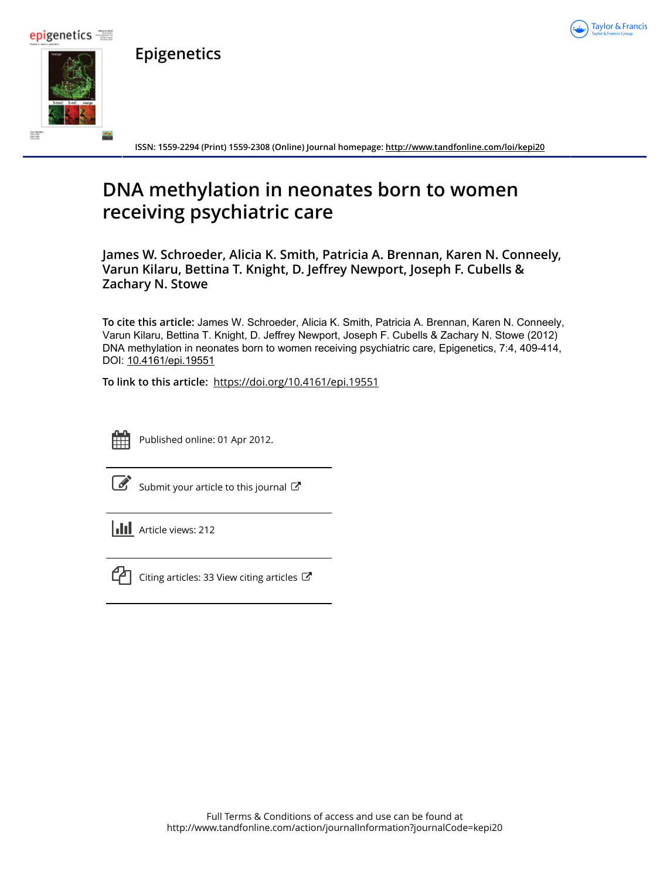





Taylor & Francis

**ISSN: 1559-2294 (Print) 1559-2308 (Online) Journal homepage:<http://www.tandfonline.com/loi/kepi20>**

## **DNA methylation in neonates born to women receiving psychiatric care**

**James W. Schroeder, Alicia K. Smith, Patricia A. Brennan, Karen N. Conneely, Varun Kilaru, Bettina T. Knight, D. Jeffrey Newport, Joseph F. Cubells & Zachary N. Stowe**

**To cite this article:** James W. Schroeder, Alicia K. Smith, Patricia A. Brennan, Karen N. Conneely, Varun Kilaru, Bettina T. Knight, D. Jeffrey Newport, Joseph F. Cubells & Zachary N. Stowe (2012) DNA methylation in neonates born to women receiving psychiatric care, Epigenetics, 7:4, 409-414, DOI: [10.4161/epi.19551](http://www.tandfonline.com/action/showCitFormats?doi=10.4161/epi.19551)

**To link to this article:** <https://doi.org/10.4161/epi.19551>



Published online: 01 Apr 2012.

212

[Submit your article to this journal](http://www.tandfonline.com/action/authorSubmission?journalCode=kepi20&show=instructions)  $\mathbb{Z}$ 

| <b>III</b> Article views: |
|---------------------------|
|                           |



 $\mathbb{C}$  [Citing articles: 33 View citing articles](http://www.tandfonline.com/doi/citedby/10.4161/epi.19551#tabModule)  $\mathbb{C}$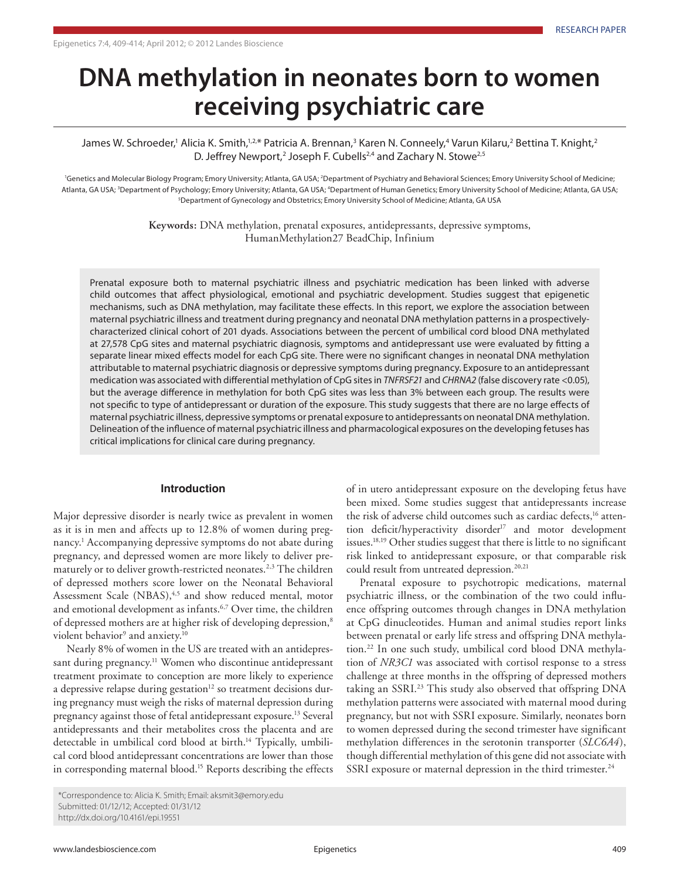# **DNA methylation in neonates born to women receiving psychiatric care**

James W. Schroeder,' Alicia K. Smith,<sup>1,2,</sup>\* Patricia A. Brennan,<sup>3</sup> Karen N. Conneely,<sup>4</sup> Varun Kilaru,<sup>2</sup> Bettina T. Knight,<sup>2</sup> D. Jeffrey Newport,<sup>2</sup> Joseph F. Cubells<sup>2,4</sup> and Zachary N. Stowe<sup>2,5</sup>

<sup>1</sup>Genetics and Molecular Biology Program; Emory University; Atlanta, GA USA; <sup>2</sup>Department of Psychiatry and Behavioral Sciences; Emory University School of Medicine; Atlanta, GA USA; <sup>3</sup>Department of Psychology; Emory University; Atlanta, GA USA; <sup>4</sup>Department of Human Genetics; Emory University School of Medicine; Atlanta, GA USA; 5 Department of Gynecology and Obstetrics; Emory University School of Medicine; Atlanta, GA USA

> **Keywords:** DNA methylation, prenatal exposures, antidepressants, depressive symptoms, HumanMethylation27 BeadChip, Infinium

but the average difference in methylation for both CpG sites was less than 3% between each group. The results were<br>not specific to type of antidepressant or duration of the exposure. This study suggests that there are no l Delineation of the influence of maternal psychiatric illness and pharmacological exposures on the developing fetuses has<br>critical implications for clinical care during pregnancy. Prenatal exposure both to maternal psychiatric illness and psychiatric medication has been linked with adverse child outcomes that affect physiological, emotional and psychiatric development. Studies suggest that epigenetic mechanisms, such as DNA methylation, may facilitate these effects. In this report, we explore the association between maternal psychiatric illness and treatment during pregnancy and neonatal DNA methylation patterns in a prospectivelycharacterized clinical cohort of 201 dyads. Associations between the percent of umbilical cord blood DNA methylated at 27,578 CpG sites and maternal psychiatric diagnosis, symptoms and antidepressant use were evaluated by fitting a separate linear mixed effects model for each CpG site. There were no significant changes in neonatal DNA methylation attributable to maternal psychiatric diagnosis or depressive symptoms during pregnancy. Exposure to an antidepressant medication was associated with differential methylation of CpG sites in *TNFRSF21* and *CHRNA2* (false discovery rate <0.05), but the average difference in methylation for both CpG sites was less than 3% between each group. The results were maternal psychiatric illness, depressive symptoms or prenatal exposure to antidepressants on neonatal DNA methylation. critical implications for clinical care during pregnancy.

#### **Introduction**

Major depressive disorder is nearly twice as prevalent in women as it is in men and affects up to 12.8% of women during pregnancy.<sup>1</sup> Accompanying depressive symptoms do not abate during pregnancy, and depressed women are more likely to deliver prematurely or to deliver growth-restricted neonates.<sup>2,3</sup> The children of depressed mothers score lower on the Neonatal Behavioral Assessment Scale (NBAS),<sup>4,5</sup> and show reduced mental, motor and emotional development as infants.<sup>6,7</sup> Over time, the children of depressed mothers are at higher risk of developing depression,<sup>8</sup> violent behavior<sup>9</sup> and anxiety.<sup>10</sup>

Nearly 8% of women in the US are treated with an antidepressant during pregnancy.<sup>11</sup> Women who discontinue antidepressant treatment proximate to conception are more likely to experience a depressive relapse during gestation<sup>12</sup> so treatment decisions during pregnancy must weigh the risks of maternal depression during pregnancy against those of fetal antidepressant exposure.13 Several antidepressants and their metabolites cross the placenta and are detectable in umbilical cord blood at birth.<sup>14</sup> Typically, umbilical cord blood antidepressant concentrations are lower than those in corresponding maternal blood.<sup>15</sup> Reports describing the effects

of in utero antidepressant exposure on the developing fetus have been mixed. Some studies suggest that antidepressants increase the risk of adverse child outcomes such as cardiac defects,<sup>16</sup> attention deficit/hyperactivity disorder<sup>17</sup> and motor development issues.18,19 Other studies suggest that there is little to no significant risk linked to antidepressant exposure, or that comparable risk could result from untreated depression.<sup>20,21</sup>

Prenatal exposure to psychotropic medications, maternal psychiatric illness, or the combination of the two could influence offspring outcomes through changes in DNA methylation at CpG dinucleotides. Human and animal studies report links between prenatal or early life stress and offspring DNA methylation.22 In one such study, umbilical cord blood DNA methylation of *NR3C1* was associated with cortisol response to a stress challenge at three months in the offspring of depressed mothers taking an SSRI.<sup>23</sup> This study also observed that offspring DNA methylation patterns were associated with maternal mood during pregnancy, but not with SSRI exposure. Similarly, neonates born to women depressed during the second trimester have significant methylation differences in the serotonin transporter (*SLC6A4*), though differential methylation of this gene did not associate with SSRI exposure or maternal depression in the third trimester.<sup>24</sup>

<sup>\*</sup>Correspondence to: Alicia K. Smith; Email: aksmit3@emory.edu Submitted: 01/12/12; Accepted: 01/31/12 http://dx.doi.org/10.4161/epi.19551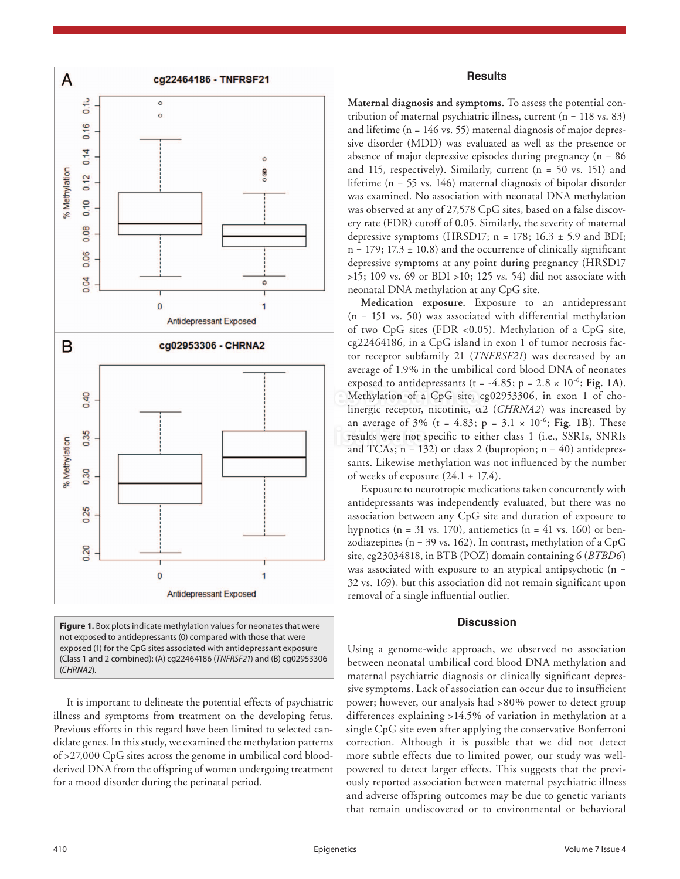

**Figure 1.** Box plots indicate methylation values for neonates that were not exposed to antidepressants (0) compared with those that were exposed (1) for the CpG sites associated with antidepressant exposure (Class 1 and 2 combined): (A) cg22464186 (*TNFRSF21*) and (B) cg02953306 (*CHRNA2*).

It is important to delineate the potential effects of psychiatric illness and symptoms from treatment on the developing fetus. Previous efforts in this regard have been limited to selected candidate genes. In this study, we examined the methylation patterns of >27,000 CpG sites across the genome in umbilical cord bloodderived DNA from the offspring of women undergoing treatment for a mood disorder during the perinatal period.

#### **Results**

**Maternal diagnosis and symptoms.** To assess the potential contribution of maternal psychiatric illness, current (n = 118 vs. 83) and lifetime (n = 146 vs. 55) maternal diagnosis of major depressive disorder (MDD) was evaluated as well as the presence or absence of major depressive episodes during pregnancy  $(n = 86)$ and 115, respectively). Similarly, current  $(n = 50$  vs. 151) and lifetime (n = 55 vs. 146) maternal diagnosis of bipolar disorder was examined. No association with neonatal DNA methylation was observed at any of 27,578 CpG sites, based on a false discovery rate (FDR) cutoff of 0.05. Similarly, the severity of maternal depressive symptoms (HRSD17;  $n = 178$ ; 16.3  $\pm$  5.9 and BDI;  $n = 179$ ; 17.3  $\pm$  10.8) and the occurrence of clinically significant depressive symptoms at any point during pregnancy (HRSD17 >15; 109 vs. 69 or BDI >10; 125 vs. 54) did not associate with neonatal DNA methylation at any CpG site.

**Exposed to anticipiessants**  $(2 - 1.59, p - 2.6 \times 10^4, 1.49)$ **.**<br>Methylation of a CpG site, cg02953306, in exon 1 of cho- $\begin{bmatrix} \text{an average of } 576 \text{ (t = 1.05, } p = 5.1 \times 10^6, \text{1 g}, \text{1 g}, \text{1 h}} \\ \text{results were not specific to either class 1 (i.e., SSRIs, SNRIs) and TCAs in = 133) or close 2 (hurcation in = 40) antidance.} \end{bmatrix}$ **Medication exposure.** Exposure to an antidepressant (n = 151 vs. 50) was associated with differential methylation of two CpG sites (FDR <0.05). Methylation of a CpG site, cg22464186, in a CpG island in exon 1 of tumor necrosis factor receptor subfamily 21 (*TNFRSF21*) was decreased by an average of 1.9% in the umbilical cord blood DNA of neonates exposed to antidepressants ( $t = -4.85$ ;  $p = 2.8 \times 10^{-6}$ ; Fig. 1A). linergic receptor, nicotinic, α2 (*CHRNA2*) was increased by an average of 3% (t =  $4.83$ ; p =  $3.1 \times 10^{-6}$ ; Fig. 1B). These and TCAs;  $n = 132$ ) or class 2 (bupropion;  $n = 40$ ) antidepressants. Likewise methylation was not influenced by the number of weeks of exposure  $(24.1 \pm 17.4)$ .

> Exposure to neurotropic medications taken concurrently with antidepressants was independently evaluated, but there was no association between any CpG site and duration of exposure to hypnotics ( $n = 31$  vs. 170), antiemetics ( $n = 41$  vs. 160) or benzodiazepines (n = 39 vs. 162). In contrast, methylation of a CpG site, cg23034818, in BTB (POZ) domain containing 6 (*BTBD6*) was associated with exposure to an atypical antipsychotic (n = 32 vs. 169), but this association did not remain significant upon removal of a single influential outlier.

#### **Discussion**

Using a genome-wide approach, we observed no association between neonatal umbilical cord blood DNA methylation and maternal psychiatric diagnosis or clinically significant depressive symptoms. Lack of association can occur due to insufficient power; however, our analysis had >80% power to detect group differences explaining >14.5% of variation in methylation at a single CpG site even after applying the conservative Bonferroni correction. Although it is possible that we did not detect more subtle effects due to limited power, our study was wellpowered to detect larger effects. This suggests that the previously reported association between maternal psychiatric illness and adverse offspring outcomes may be due to genetic variants that remain undiscovered or to environmental or behavioral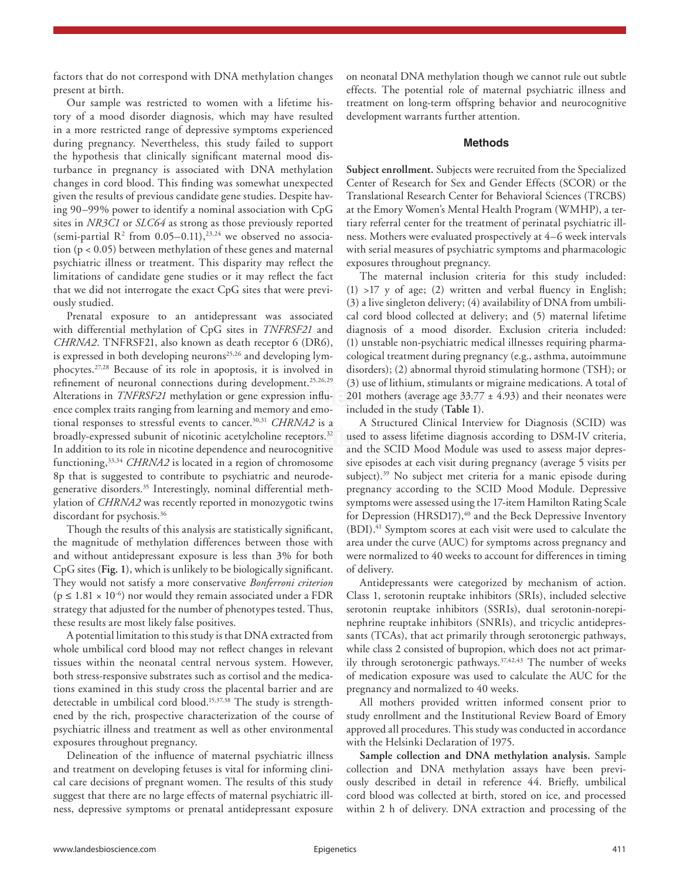factors that do not correspond with DNA methylation changes present at birth.

Our sample was restricted to women with a lifetime history of a mood disorder diagnosis, which may have resulted in a more restricted range of depressive symptoms experienced during pregnancy. Nevertheless, this study failed to support the hypothesis that clinically significant maternal mood disturbance in pregnancy is associated with DNA methylation changes in cord blood. This finding was somewhat unexpected given the results of previous candidate gene studies. Despite having 90–99% power to identify a nominal association with CpG sites in *NR3C1* or *SLC64* as strong as those previously reported (semi-partial  $R^2$  from 0.05–0.11),<sup>23,24</sup> we observed no association (p < 0.05) between methylation of these genes and maternal psychiatric illness or treatment. This disparity may reflect the limitations of candidate gene studies or it may reflect the fact that we did not interrogate the exact CpG sites that were previously studied.

Principle of the conductions daring development.<br>
Alterations in *TNFRSF21* methylation or gene expression influ-<br>
and complex traits engine from learning and memory and gma<sub>ni</sub>c included in the crudy (Table 1) Prenatal exposure to an antidepressant was associated with differential methylation of CpG sites in *TNFRSF21* and *CHRNA2*. TNFRSF21, also known as death receptor 6 (DR6), is expressed in both developing neurons<sup>25,26</sup> and developing lymphocytes.27,28 Because of its role in apoptosis, it is involved in refinement of neuronal connections during development.<sup>25,26,29</sup> ence complex traits ranging from learning and memory and emotional responses to stressful events to cancer.<sup>30,31</sup> CHRNA2 is a broadly-expressed subunit of nicotinic acetylcholine receptors.<sup>32</sup> In addition to its role in nicotine dependence and neurocognitive functioning,33,34 *CHRNA2* is located in a region of chromosome 8p that is suggested to contribute to psychiatric and neurodegenerative disorders.35 Interestingly, nominal differential methylation of *CHRNA2* was recently reported in monozygotic twins discordant for psychosis.<sup>36</sup>

Though the results of this analysis are statistically significant, the magnitude of methylation differences between those with and without antidepressant exposure is less than 3% for both CpG sites (**Fig. 1**), which is unlikely to be biologically significant. They would not satisfy a more conservative *Bonferroni criterion*  $(p \leq 1.81 \times 10^{-6})$  nor would they remain associated under a FDR strategy that adjusted for the number of phenotypes tested. Thus, these results are most likely false positives.

A potential limitation to this study is that DNA extracted from whole umbilical cord blood may not reflect changes in relevant tissues within the neonatal central nervous system. However, both stress-responsive substrates such as cortisol and the medications examined in this study cross the placental barrier and are detectable in umbilical cord blood.15,37,38 The study is strengthened by the rich, prospective characterization of the course of psychiatric illness and treatment as well as other environmental exposures throughout pregnancy.

Delineation of the influence of maternal psychiatric illness and treatment on developing fetuses is vital for informing clinical care decisions of pregnant women. The results of this study suggest that there are no large effects of maternal psychiatric illness, depressive symptoms or prenatal antidepressant exposure on neonatal DNA methylation though we cannot rule out subtle effects. The potential role of maternal psychiatric illness and treatment on long-term offspring behavior and neurocognitive development warrants further attention.

#### **Methods**

**Subject enrollment.** Subjects were recruited from the Specialized Center of Research for Sex and Gender Effects (SCOR) or the Translational Research Center for Behavioral Sciences (TRCBS) at the Emory Women's Mental Health Program (WMHP), a tertiary referral center for the treatment of perinatal psychiatric illness. Mothers were evaluated prospectively at 4–6 week intervals with serial measures of psychiatric symptoms and pharmacologic exposures throughout pregnancy.

The maternal inclusion criteria for this study included:  $(1)$  >17 y of age;  $(2)$  written and verbal fluency in English; (3) a live singleton delivery; (4) availability of DNA from umbilical cord blood collected at delivery; and (5) maternal lifetime diagnosis of a mood disorder. Exclusion criteria included: (1) unstable non-psychiatric medical illnesses requiring pharmacological treatment during pregnancy (e.g., asthma, autoimmune disorders); (2) abnormal thyroid stimulating hormone (TSH); or (3) use of lithium, stimulants or migraine medications. A total of 201 mothers (average age  $33.77 \pm 4.93$ ) and their neonates were included in the study (**Table 1**).

Leholine receptors.<sup>32</sup> used to assess lifetime diagnosis according to DSM-IV criteria, A Structured Clinical Interview for Diagnosis (SCID) was and the SCID Mood Module was used to assess major depressive episodes at each visit during pregnancy (average 5 visits per subject).<sup>39</sup> No subject met criteria for a manic episode during pregnancy according to the SCID Mood Module. Depressive symptoms were assessed using the 17-item Hamilton Rating Scale for Depression (HRSD17),<sup>40</sup> and the Beck Depressive Inventory (BDI).<sup>41</sup> Symptom scores at each visit were used to calculate the area under the curve (AUC) for symptoms across pregnancy and were normalized to 40 weeks to account for differences in timing of delivery.

> Antidepressants were categorized by mechanism of action. Class 1, serotonin reuptake inhibitors (SRIs), included selective serotonin reuptake inhibitors (SSRIs), dual serotonin-norepinephrine reuptake inhibitors (SNRIs), and tricyclic antidepressants (TCAs), that act primarily through serotonergic pathways, while class 2 consisted of bupropion, which does not act primarily through serotonergic pathways.37,42,43 The number of weeks of medication exposure was used to calculate the AUC for the pregnancy and normalized to 40 weeks.

> All mothers provided written informed consent prior to study enrollment and the Institutional Review Board of Emory approved all procedures. This study was conducted in accordance with the Helsinki Declaration of 1975.

> **Sample collection and DNA methylation analysis.** Sample collection and DNA methylation assays have been previously described in detail in reference 44. Briefly, umbilical cord blood was collected at birth, stored on ice, and processed within 2 h of delivery. DNA extraction and processing of the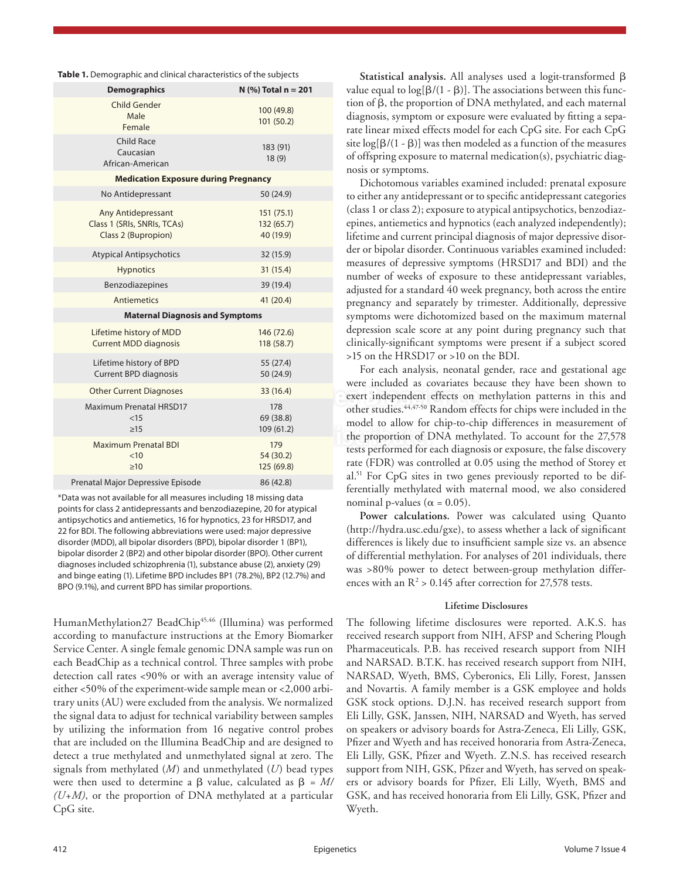**Table 1.** Demographic and clinical characteristics of the subjects

| <b>Demographics</b>                                                             | $N$ (%) Total $n = 201$             |  |  |
|---------------------------------------------------------------------------------|-------------------------------------|--|--|
| <b>Child Gender</b><br>Male<br>Female                                           | 100 (49.8)<br>101(50.2)             |  |  |
| Child Race<br>Caucasian<br>African-American                                     | 183 (91)<br>18(9)                   |  |  |
| <b>Medication Exposure during Pregnancy</b>                                     |                                     |  |  |
| No Antidepressant                                                               | 50 (24.9)                           |  |  |
| <b>Any Antidepressant</b><br>Class 1 (SRIs, SNRIs, TCAs)<br>Class 2 (Bupropion) | 151(75.1)<br>132(65.7)<br>40 (19.9) |  |  |
| <b>Atypical Antipsychotics</b>                                                  | 32 (15.9)                           |  |  |
| <b>Hypnotics</b>                                                                | 31(15.4)                            |  |  |
| Benzodiazepines                                                                 | 39 (19.4)                           |  |  |
| <b>Antiemetics</b>                                                              | 41 (20.4)                           |  |  |
| <b>Maternal Diagnosis and Symptoms</b>                                          |                                     |  |  |
| Lifetime history of MDD<br><b>Current MDD diagnosis</b>                         | 146 (72.6)<br>118 (58.7)            |  |  |
| Lifetime history of BPD<br><b>Current BPD diagnosis</b>                         | 55 (27.4)<br>50 (24.9)              |  |  |
| <b>Other Current Diagnoses</b>                                                  | 33 (16.4)                           |  |  |
| <b>Maximum Prenatal HRSD17</b><br><15<br>$\geq$ 15                              | 178<br>69 (38.8)<br>109 (61.2)      |  |  |
| <b>Maximum Prenatal BDI</b><br>$<$ 10<br>$\geq 10$                              | 179<br>54 (30.2)<br>125 (69.8)      |  |  |
| Prenatal Major Depressive Episode                                               | 86 (42.8)                           |  |  |

\*Data was not available for all measures including 18 missing data points for class 2 antidepressants and benzodiazepine, 20 for atypical antipsychotics and antiemetics, 16 for hypnotics, 23 for HRSD17, and 22 for BDI. The following abbreviations were used: major depressive disorder (MDD), all bipolar disorders (BPD), bipolar disorder 1 (BP1), bipolar disorder 2 (BP2) and other bipolar disorder (BPO). Other current diagnoses included schizophrenia (1), substance abuse (2), anxiety (29) and binge eating (1). Lifetime BPD includes BP1 (78.2%), BP2 (12.7%) and BPO (9.1%), and current BPD has similar proportions.

HumanMethylation27 BeadChip<sup>45,46</sup> (Illumina) was performed according to manufacture instructions at the Emory Biomarker Service Center. A single female genomic DNA sample was run on each BeadChip as a technical control. Three samples with probe detection call rates <90% or with an average intensity value of either <50% of the experiment-wide sample mean or <2,000 arbitrary units (AU) were excluded from the analysis. We normalized the signal data to adjust for technical variability between samples by utilizing the information from 16 negative control probes that are included on the Illumina BeadChip and are designed to detect a true methylated and unmethylated signal at zero. The signals from methylated (*M*) and unmethylated (*U*) bead types were then used to determine a β value, calculated as  $β = M/$ *(U+M)*, or the proportion of DNA methylated at a particular CpG site.

**Statistical analysis.** All analyses used a logit-transformed β value equal to  $log[β/(1 - β)]$ . The associations between this function of β, the proportion of DNA methylated, and each maternal diagnosis, symptom or exposure were evaluated by fitting a separate linear mixed effects model for each CpG site. For each CpG site  $log[\beta/(1 - \beta)]$  was then modeled as a function of the measures of offspring exposure to maternal medication(s), psychiatric diagnosis or symptoms.

Dichotomous variables examined included: prenatal exposure to either any antidepressant or to specific antidepressant categories (class 1 or class 2); exposure to atypical antipsychotics, benzodiazepines, antiemetics and hypnotics (each analyzed independently); lifetime and current principal diagnosis of major depressive disorder or bipolar disorder. Continuous variables examined included: measures of depressive symptoms (HRSD17 and BDI) and the number of weeks of exposure to these antidepressant variables, adjusted for a standard 40 week pregnancy, both across the entire pregnancy and separately by trimester. Additionally, depressive symptoms were dichotomized based on the maximum maternal depression scale score at any point during pregnancy such that clinically-significant symptoms were present if a subject scored >15 on the HRSD17 or >10 on the BDI.

<sup>33</sup> (16.4)<br><sup>201</sup> exert independent effects on methylation patterns in this and<br><sup>2178</sup> exert independent effects for chine wave included in the 109 (61.2)<br>
the proportion of DNA methylated. To account for the 27,578<br>
tests performed for each discression expecting the false discovery For each analysis, neonatal gender, race and gestational age were included as covariates because they have been shown to other studies.44,47-50 Random effects for chips were included in the model to allow for chip-to-chip differences in measurement of tests performed for each diagnosis or exposure, the false discovery rate (FDR) was controlled at 0.05 using the method of Storey et al.51 For CpG sites in two genes previously reported to be differentially methylated with maternal mood, we also considered nominal p-values ( $\alpha$  = 0.05).

> **Power calculations.** Power was calculated using Quanto (http://hydra.usc.edu/gxe), to assess whether a lack of significant differences is likely due to insufficient sample size vs. an absence of differential methylation. For analyses of 201 individuals, there was >80% power to detect between-group methylation differences with an  $R^2 > 0.145$  after correction for 27,578 tests.

#### **Lifetime Disclosures**

The following lifetime disclosures were reported. A.K.S. has received research support from NIH, AFSP and Schering Plough Pharmaceuticals. P.B. has received research support from NIH and NARSAD. B.T.K. has received research support from NIH, NARSAD, Wyeth, BMS, Cyberonics, Eli Lilly, Forest, Janssen and Novartis. A family member is a GSK employee and holds GSK stock options. D.J.N. has received research support from Eli Lilly, GSK, Janssen, NIH, NARSAD and Wyeth, has served on speakers or advisory boards for Astra-Zeneca, Eli Lilly, GSK, Pfizer and Wyeth and has received honoraria from Astra-Zeneca, Eli Lilly, GSK, Pfizer and Wyeth. Z.N.S. has received research support from NIH, GSK, Pfizer and Wyeth, has served on speakers or advisory boards for Pfizer, Eli Lilly, Wyeth, BMS and GSK, and has received honoraria from Eli Lilly, GSK, Pfizer and Wyeth.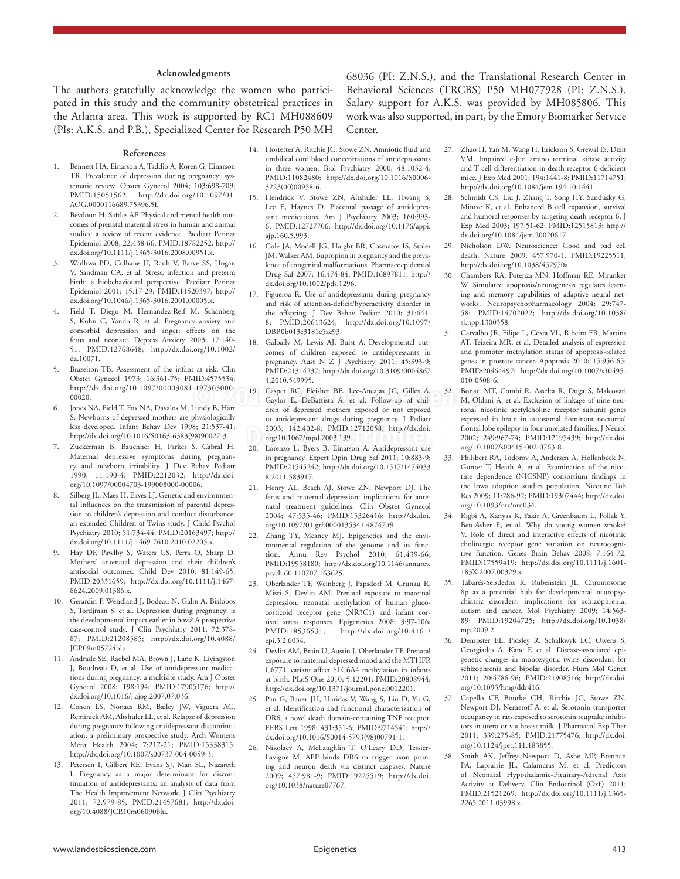### **Acknowledgments**

The authors gratefully acknowledge the women who participated in this study and the community obstetrical practices in the Atlanta area. This work is supported by RC1 MH088609 (PIs: A.K.S. and P.B.), Specialized Center for Research P50 MH 68036 (PI: Z.N.S.), and the Translational Research Center in Behavioral Sciences (TRCBS) P50 MH077928 (PI: Z.N.S.). Salary support for A.K.S. was provided by MH085806. This work was also supported, in part, by the Emory Biomarker Service Center.

#### **References**

- 1. Bennett HA, Einarson A, Taddio A, Koren G, Einarson TR. Prevalence of depression during pregnancy: systematic review. Obstet Gynecol 2004; 103:698-709; PMID:15051562; http://dx.doi.org/10.1097/01. AOG.0000116689.75396.5f.
- 2. Beydoun H, Saftlas AF. Physical and mental health outcomes of prenatal maternal stress in human and animal studies: a review of recent evidence. Paediatr Perinat Epidemiol 2008; 22:438-66; PMID:18782252; http:// dx.doi.org/10.1111/j.1365-3016.2008.00951.x.
- 3. Wadhwa PD, Culhane JF, Rauh V, Barve SS, Hogan V, Sandman CA, et al. Stress, infection and preterm birth: a biobehavioural perspective. Paediatr Perinat Epidemiol 2001; 15:17-29; PMID:11520397; http:// dx.doi.org/10.1046/j.1365-3016.2001.00005.x.
- 4. Field T, Diego M, Hernandez-Reif M, Schanberg S, Kuhn C, Yando R, et al. Pregnancy anxiety and comorbid depression and anger: effects on the fetus and neonate. Depress Anxiety 2003; 17:140- 51; PMID:12768648; http://dx.doi.org/10.1002/ da.10071.
- 5. Brazelton TB. Assessment of the infant at risk. Clin Obstet Gynecol 1973; 16:361-75; PMID:4575534; http://dx.doi.org/10.1097/00003081-197303000- 00020.
- 6. Jones NA, Field T, Fox NA, Davalos M, Lundy B, Hart S. Newborns of depressed mothers are physiologically less developed. Infant Behav Dev 1998; 21:537-41; http://dx.doi.org/10.1016/S0163-6383(98)90027-3.
- 7. Zuckerman B, Bauchner H, Parker S, Cabral H. Maternal depressive symptoms during pregnancy and newborn irritability. J Dev Behav Pediatr 1990; 11:190-4; PMID:2212032; http://dx.doi. org/10.1097/00004703-199008000-00006.
- Silberg JL, Maes H, Eaves LJ. Genetic and environmental influences on the transmission of parental depression to children's depression and conduct disturbance: an extended Children of Twins study. J Child Psychol Psychiatry 2010; 51:734-44; PMID:20163497; http:// dx.doi.org/10.1111/j.1469-7610.2010.02205.x.
- 9. Hay DF, Pawlby S, Waters CS, Perra O, Sharp D. Mothers' antenatal depression and their children's antisocial outcomes. Child Dev 2010; 81:149-65; PMID:20331659; http://dx.doi.org/10.1111/j.1467- 8624.2009.01386.x.
- 10. Gerardin P, Wendland J, Bodeau N, Galin A, Bialobos S, Tordjman S, et al. Depression during pregnancy: is the developmental impact earlier in boys? A prospective case-control study. J Clin Psychiatry 2011; 72:378- 87; PMID:21208585; http://dx.doi.org/10.4088/ JCP.09m05724blu.
- 11. Andrade SE, Raebel MA, Brown J, Lane K, Livingston J, Boudreau D, et al. Use of antidepressant medications during pregnancy: a multisite study. Am J Obstet Gynecol 2008; 198:194; PMID:17905176; http:// dx.doi.org/10.1016/j.ajog.2007.07.036.
- 12. Cohen LS, Nonacs RM, Bailey JW, Viguera AC, Reminick AM, Altshuler LL, et al. Relapse of depression during pregnancy following antidepressant discontinuation: a preliminary prospective study. Arch Womens Ment Health 2004; 7:217-21; PMID:15338315; http://dx.doi.org/10.1007/s00737-004-0059-3.
- 13. Petersen I, Gilbert RE, Evans SJ, Man SL, Nazareth I. Pregnancy as a major determinant for discontinuation of antidepressants: an analysis of data from The Health Improvement Network. J Clin Psychiatry 2011; 72:979-85; PMID:21457681; http://dx.doi. org/10.4088/JCP.10m06090blu.
- 14. Hostetter A, Ritchie JC, Stowe ZN. Amniotic fluid and umbilical cord blood concentrations of antidepressants in three women. Biol Psychiatry 2000; 48:1032-4; PMID:11082480; http://dx.doi.org/10.1016/S0006- 3223(00)00958-6.
- 15. Hendrick V, Stowe ZN, Altshuler LL, Hwang S, Lee E, Haynes D. Placental passage of antidepressant medications. Am J Psychiatry 2003; 160:993- 6; PMID:12727706; http://dx.doi.org/10.1176/appi. ajp.160.5.993.
- 16. Cole JA, Modell JG, Haight BR, Cosmatos IS, Stoler JM, Walker AM. Bupropion in pregnancy and the prevalence of congenital malformations. Pharmacoepidemiol Drug Saf 2007; 16:474-84; PMID:16897811; http:// dx.doi.org/10.1002/pds.1296.
- 17. Figueroa R. Use of antidepressants during pregnancy and risk of attention-deficit/hyperactivity disorder in the offspring. J Dev Behav Pediatr 2010; 31:641- 8; PMID:20613624; http://dx.doi.org/10.1097/ DBP.0b013e3181e5ac93.
- 18. Galbally M, Lewis AJ, Buist A. Developmental outcomes of children exposed to antidepressants in pregnancy. Aust N Z J Psychiatry 2011; 45:393-9; PMID:21314237; http://dx.doi.org/10.3109/0004867 4.2010.549995.
- <sup>2</sup> <sup>197303000-<br>
<sup>2012</sup> Casper RC, Fleisher BE, Lee-Ancajas JC, Gilles A, 32. Bonati Caylor E, DeBattista A, et al. Follow-up of chil</sup> 2003; 142:402-8; PMID:12712058; http://dx.doi.<br>
org/10.1067/mpd.2003.139.<br>
20 Jorenzo J. Byers B. Finarson A. Antidepressant use Gaylor E, DeBattista A, et al. Follow-up of children of depressed mothers exposed or not exposed to antidepressant drugs during pregnancy. J Pediatr org/10.1067/mpd.2003.139.
	- 20. Lorenzo L, Byers B, Einarson A. Antidepressant use in pregnancy. Expert Opin Drug Saf 2011; 10:883-9; PMID:21545242; http://dx.doi.org/10.1517/1474033 8.2011.583917.
	- 21. Henry AL, Beach AJ, Stowe ZN, Newport DJ. The fetus and maternal depression: implications for antenatal treatment guidelines. Clin Obstet Gynecol 2004; 47:535-46; PMID:15326416; http://dx.doi. org/10.1097/01.grf.0000135341.48747.f9.
	- 22. Zhang TY, Meaney MJ. Epigenetics and the environmental regulation of the genome and its function. Annu Rev Psychol 2010; 61:439-66; PMID:19958180; http://dx.doi.org/10.1146/annurev. psych.60.110707.163625.
	- 23. Oberlander TF, Weinberg J, Papsdorf M, Grunau R, Misri S, Devlin AM. Prenatal exposure to maternal depression, neonatal methylation of human glucocorticoid receptor gene (NR3C1) and infant cortisol stress responses. Epigenetics 2008; 3:97-106; PMID:18536531; http://dx.doi.org/10.4161/ epi.3.2.6034.
	- 24. Devlin AM, Brain U, Austin J, Oberlander TF. Prenatal exposure to maternal depressed mood and the MTHFR C677T variant affect SLC6A4 methylation in infants at birth. PLoS One 2010; 5:12201; PMID:20808944; http://dx.doi.org/10.1371/journal.pone.0012201.
	- 25. Pan G, Bauer JH, Haridas V, Wang S, Liu D, Yu G, et al. Identification and functional characterization of DR6, a novel death domain-containing TNF receptor. FEBS Lett 1998; 431:351-6; PMID:9714541; http:// dx.doi.org/10.1016/S0014-5793(98)00791-1.
	- 26. Nikolaev A, McLaughlin T, O'Leary DD, Tessier-Lavigne M. APP binds DR6 to trigger axon pruning and neuron death via distinct caspases. Nature 2009; 457:981-9; PMID:19225519; http://dx.doi. org/10.1038/nature07767.
- 27. Zhao H, Yan M, Wang H, Erickson S, Grewal IS, Dixit VM. Impaired c-Jun amino terminal kinase activity and T cell differentiation in death receptor 6-deficient mice. J Exp Med 2001; 194:1441-8; PMID:11714751; http://dx.doi.org/10.1084/jem.194.10.1441.
- 28. Schmidt CS, Liu J, Zhang T, Song HY, Sandusky G, Mintze K, et al. Enhanced B cell expansion, survival and humoral responses by targeting death receptor 6. J Exp Med 2003; 197:51-62; PMID:12515813; http:// dx.doi.org/10.1084/jem.20020617.
- 29. Nicholson DW. Neuroscience: Good and bad cell death. Nature 2009; 457:970-1; PMID:19225511; http://dx.doi.org/10.1038/457970a.
- 30. Chambers RA, Potenza MN, Hoffman RE, Miranker W. Simulated apoptosis/neurogenesis regulates learning and memory capabilities of adaptive neural networks. Neuropsychopharmacology 2004; 29:747- 58; PMID:14702022; http://dx.doi.org/10.1038/ sj.npp.1300358.
- 31. Carvalho JR, Filipe L, Costa VL, Ribeiro FR, Martins AT, Teixeira MR, et al. Detailed analysis of expression and promoter methylation status of apoptosis-related genes in prostate cancer. Apoptosis 2010; 15:956-65; PMID:20464497; http://dx.doi.org/10.1007/s10495- 010-0508-6.
- 32. Bonati MT, Combi R, Asselta R, Duga S, Malcovati M, Oldani A, et al. Exclusion of linkage of nine neuronal nicotinic acetylcholine receptor subunit genes expressed in brain in autosomal dominant nocturnal frontal lobe epilepsy in four unrelated families. J Neurol 2002; 249:967-74; PMID:12195439; http://dx.doi. org/10.1007/s00415-002-0763-8.
- 33. Philibert RA, Todorov A, Andersen A, Hollenbeck N, Gunter T, Heath A, et al. Examination of the nicotine dependence (NICSNP) consortium findings in the Iowa adoption studies population. Nicotine Tob Res 2009; 11:286-92; PMID:19307444; http://dx.doi. org/10.1093/ntr/ntn034.
- 34. Rigbi A, Kanyas K, Yakir A, Greenbaum L, Pollak Y, Ben-Asher E, et al. Why do young women smoke? V. Role of direct and interactive effects of nicotinic cholinergic receptor gene variation on neurocognitive function. Genes Brain Behav 2008; 7:164-72; PMID:17559419; http://dx.doi.org/10.1111/j.1601- 183X.2007.00329.x.
- 35. Tabarés-Seisdedos R, Rubenstein JL. Chromosome 8p as a potential hub for developmental neuropsychiatric disorders: implications for schizophrenia, autism and cancer. Mol Psychiatry 2009; 14:563- 89; PMID:19204725; http://dx.doi.org/10.1038/ mp.2009.2.
- 36. Dempster EL, Pidsley R, Schalkwyk LC, Owens S, Georgiades A, Kane F, et al. Disease-associated epigenetic changes in monozygotic twins discordant for schizophrenia and bipolar disorder. Hum Mol Genet 2011; 20:4786-96; PMID:21908516; http://dx.doi. org/10.1093/hmg/ddr416.
- 37. Capello CF, Bourke CH, Ritchie JC, Stowe ZN, Newport DJ, Nemeroff A, et al. Serotonin transporter occupancy in rats exposed to serotonin reuptake inhibitors in utero or via breast milk. J Pharmacol Exp Ther 2011; 339:275-85; PMID:21775476; http://dx.doi. org/10.1124/jpet.111.183855.
- 38. Smith AK, Jeffrey Newport D, Ashe MP, Brennan PA, Laprairie JL, Calamaras M, et al. Predictors of Neonatal Hypothalamic-Pituitary-Adrenal Axis Activity at Delivery. Clin Endocrinol (Oxf) 2011; PMID:21521269; http://dx.doi.org/10.1111/j.1365- 2265.2011.03998.x.